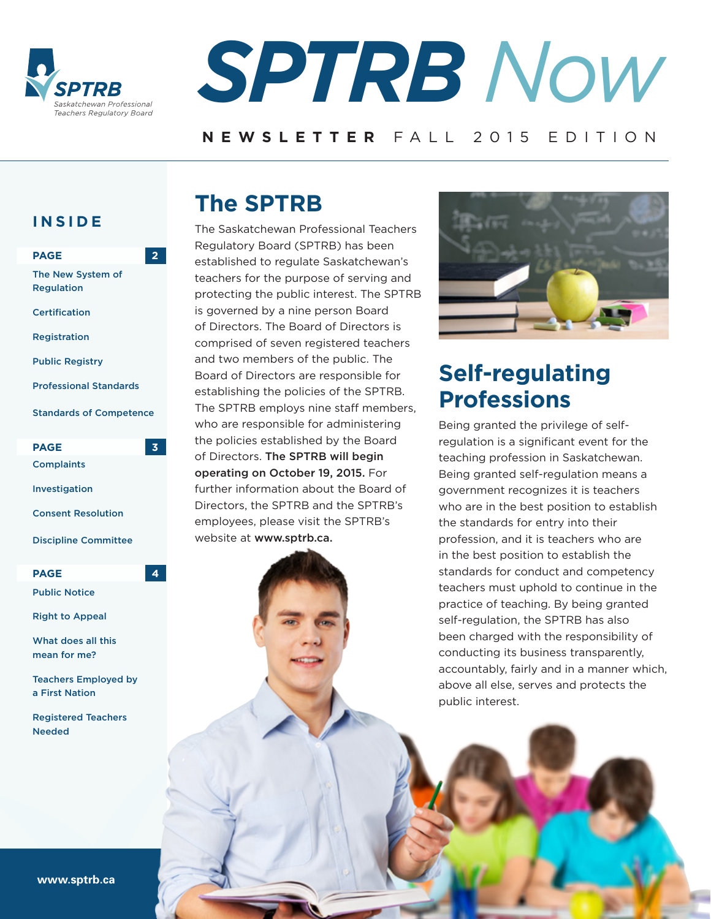



### **NEWSLETTER** FALL 2015 EDITION

### **INSIDE**

| <b>PAGE</b>                            |   |
|----------------------------------------|---|
| The New System of<br><b>Regulation</b> |   |
| <b>Certification</b>                   |   |
| Registration                           |   |
| <b>Public Registry</b>                 |   |
| <b>Professional Standards</b>          |   |
| <b>Standards of Competence</b>         |   |
|                                        |   |
| <b>PAGE</b>                            |   |
| <b>Complaints</b>                      |   |
| Investigation                          |   |
| <b>Consent Resolution</b>              |   |
| <b>Discipline Committee</b>            |   |
| <b>PAGE</b>                            | 4 |
| <b>Public Notice</b>                   |   |

What does all this mean for me?

Teachers Employed by a First Nation

Registered Teachers Needed

## **The SPTRB**

The Saskatchewan Professional Teachers Regulatory Board (SPTRB) has been established to regulate Saskatchewan's teachers for the purpose of serving and protecting the public interest. The SPTRB is governed by a nine person Board of Directors. The Board of Directors is comprised of seven registered teachers and two members of the public. The Board of Directors are responsible for establishing the policies of the SPTRB. The SPTRB employs nine staff members, who are responsible for administering the policies established by the Board of Directors. The SPTRB will begin operating on October 19, 2015. For further information about the Board of Directors, the SPTRB and the SPTRB's employees, please visit the SPTRB's website at www.sptrb.ca.



# **Self-regulating Professions**

Being granted the privilege of selfregulation is a significant event for the teaching profession in Saskatchewan. Being granted self-regulation means a government recognizes it is teachers who are in the best position to establish the standards for entry into their profession, and it is teachers who are in the best position to establish the standards for conduct and competency teachers must uphold to continue in the practice of teaching. By being granted self-regulation, the SPTRB has also been charged with the responsibility of conducting its business transparently, accountably, fairly and in a manner which, above all else, serves and protects the public interest.

**www.sptrb.ca**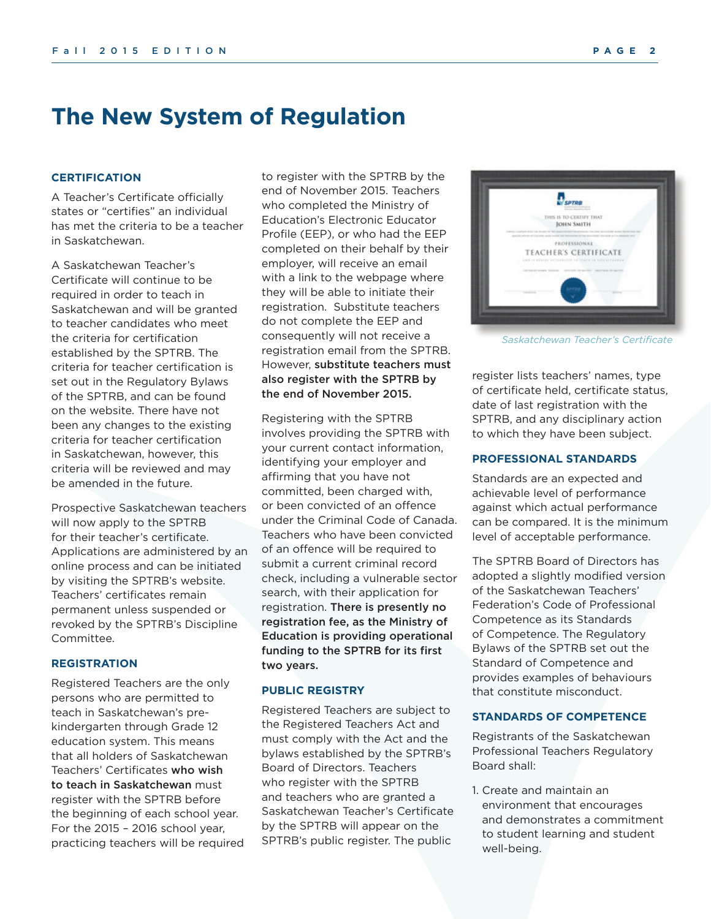## **The New System of Regulation**

#### **CERTIFICATION**

A Teacher's Certificate officially states or "certifies" an individual has met the criteria to be a teacher in Saskatchewan.

A Saskatchewan Teacher's Certificate will continue to be required in order to teach in Saskatchewan and will be granted to teacher candidates who meet the criteria for certification established by the SPTRB. The criteria for teacher certification is set out in the Regulatory Bylaws of the SPTRB, and can be found on the website. There have not been any changes to the existing criteria for teacher certification in Saskatchewan, however, this criteria will be reviewed and may be amended in the future.

Prospective Saskatchewan teachers will now apply to the SPTRB for their teacher's certificate. Applications are administered by an online process and can be initiated by visiting the SPTRB's website. Teachers' certificates remain permanent unless suspended or revoked by the SPTRB's Discipline Committee.

#### **REGISTRATION**

Registered Teachers are the only persons who are permitted to teach in Saskatchewan's prekindergarten through Grade 12 education system. This means that all holders of Saskatchewan Teachers' Certificates who wish to teach in Saskatchewan must register with the SPTRB before the beginning of each school year. For the 2015 – 2016 school year, practicing teachers will be required to register with the SPTRB by the end of November 2015. Teachers who completed the Ministry of Education's Electronic Educator Profile (EEP), or who had the EEP completed on their behalf by their employer, will receive an email with a link to the webpage where they will be able to initiate their registration. Substitute teachers do not complete the EEP and consequently will not receive a registration email from the SPTRB. However, substitute teachers must also register with the SPTRB by the end of November 2015.

Registering with the SPTRB involves providing the SPTRB with your current contact information, identifying your employer and affirming that you have not committed, been charged with, or been convicted of an offence under the Criminal Code of Canada. Teachers who have been convicted of an offence will be required to submit a current criminal record check, including a vulnerable sector search, with their application for registration. There is presently no registration fee, as the Ministry of Education is providing operational funding to the SPTRB for its first two years.

#### **PUBLIC REGISTRY**

Registered Teachers are subject to the Registered Teachers Act and must comply with the Act and the bylaws established by the SPTRB's Board of Directors. Teachers who register with the SPTRB and teachers who are granted a Saskatchewan Teacher's Certificate by the SPTRB will appear on the SPTRB's public register. The public

*Saskatchewan Teacher's Certificate*

register lists teachers' names, type of certificate held, certificate status, date of last registration with the SPTRB, and any disciplinary action to which they have been subject.

#### **PROFESSIONAL STANDARDS**

Standards are an expected and achievable level of performance against which actual performance can be compared. It is the minimum level of acceptable performance.

The SPTRB Board of Directors has adopted a slightly modified version of the Saskatchewan Teachers' Federation's Code of Professional Competence as its Standards of Competence. The Regulatory Bylaws of the SPTRB set out the Standard of Competence and provides examples of behaviours that constitute misconduct.

#### **STANDARDS OF COMPETENCE**

Registrants of the Saskatchewan Professional Teachers Regulatory Board shall:

1. Create and maintain an environment that encourages and demonstrates a commitment to student learning and student well-being.

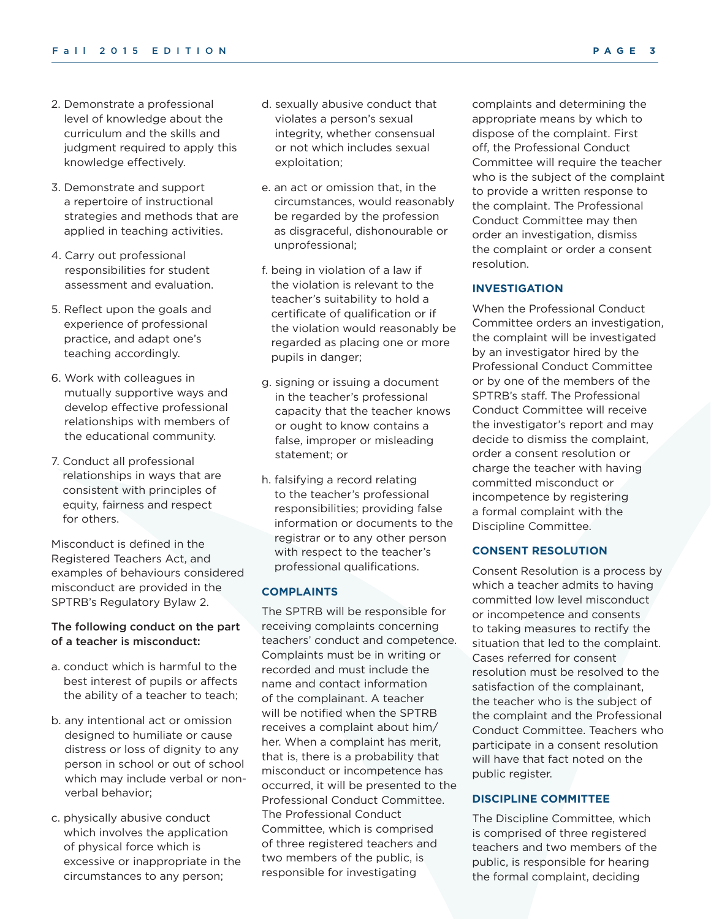- 2. Demonstrate a professional level of knowledge about the curriculum and the skills and judgment required to apply this knowledge effectively.
- 3. Demonstrate and support a repertoire of instructional strategies and methods that are applied in teaching activities.
- 4. Carry out professional responsibilities for student assessment and evaluation.
- 5. Reflect upon the goals and experience of professional practice, and adapt one's teaching accordingly.
- 6. Work with colleagues in mutually supportive ways and develop effective professional relationships with members of the educational community.
- 7. Conduct all professional relationships in ways that are consistent with principles of equity, fairness and respect for others.

Misconduct is defined in the Registered Teachers Act, and examples of behaviours considered misconduct are provided in the SPTRB's Regulatory Bylaw 2.

#### The following conduct on the part of a teacher is misconduct:

- a. conduct which is harmful to the best interest of pupils or affects the ability of a teacher to teach;
- b. any intentional act or omission designed to humiliate or cause distress or loss of dignity to any person in school or out of school which may include verbal or nonverbal behavior;
- c. physically abusive conduct which involves the application of physical force which is excessive or inappropriate in the circumstances to any person;
- d. sexually abusive conduct that violates a person's sexual integrity, whether consensual or not which includes sexual exploitation;
- e. an act or omission that, in the circumstances, would reasonably be regarded by the profession as disgraceful, dishonourable or unprofessional;
- f. being in violation of a law if the violation is relevant to the teacher's suitability to hold a certificate of qualification or if the violation would reasonably be regarded as placing one or more pupils in danger;
- g. signing or issuing a document in the teacher's professional capacity that the teacher knows or ought to know contains a false, improper or misleading statement; or
- h. falsifying a record relating to the teacher's professional responsibilities; providing false information or documents to the registrar or to any other person with respect to the teacher's professional qualifications.

#### **COMPLAINTS**

The SPTRB will be responsible for receiving complaints concerning teachers' conduct and competence. Complaints must be in writing or recorded and must include the name and contact information of the complainant. A teacher will be notified when the SPTRB receives a complaint about him/ her. When a complaint has merit, that is, there is a probability that misconduct or incompetence has occurred, it will be presented to the Professional Conduct Committee. The Professional Conduct Committee, which is comprised of three registered teachers and two members of the public, is responsible for investigating

complaints and determining the appropriate means by which to dispose of the complaint. First off, the Professional Conduct Committee will require the teacher who is the subject of the complaint to provide a written response to the complaint. The Professional Conduct Committee may then order an investigation, dismiss the complaint or order a consent resolution.

#### **INVESTIGATION**

When the Professional Conduct Committee orders an investigation, the complaint will be investigated by an investigator hired by the Professional Conduct Committee or by one of the members of the SPTRB's staff. The Professional Conduct Committee will receive the investigator's report and may decide to dismiss the complaint, order a consent resolution or charge the teacher with having committed misconduct or incompetence by registering a formal complaint with the Discipline Committee.

#### **CONSENT RESOLUTION**

Consent Resolution is a process by which a teacher admits to having committed low level misconduct or incompetence and consents to taking measures to rectify the situation that led to the complaint. Cases referred for consent resolution must be resolved to the satisfaction of the complainant, the teacher who is the subject of the complaint and the Professional Conduct Committee. Teachers who participate in a consent resolution will have that fact noted on the public register.

#### **DISCIPLINE COMMITTEE**

The Discipline Committee, which is comprised of three registered teachers and two members of the public, is responsible for hearing the formal complaint, deciding